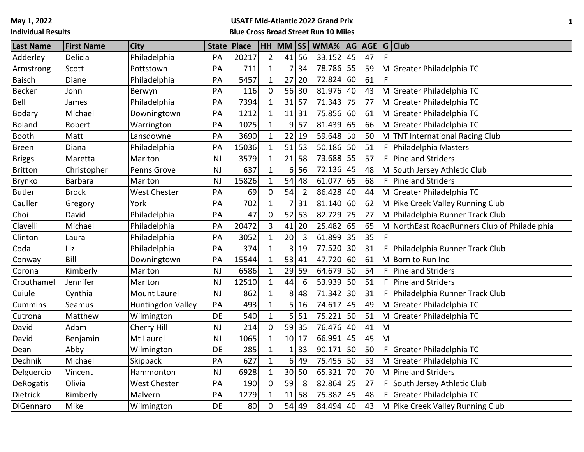**May 1, 2022**

# **Individual Results**

# **USATF Mid-Atlantic 2022 Grand Prix**

**Blue Cross Broad Street Run 10 Miles**

| <b>Last Name</b> | <b>First Name</b> | <b>City</b>         |           | State   Place |                | $HH$ MM $ SS $  |                | WMA%   AG   AGE   G   Club |    |    |    |                                              |
|------------------|-------------------|---------------------|-----------|---------------|----------------|-----------------|----------------|----------------------------|----|----|----|----------------------------------------------|
| Adderley         | Delicia           | Philadelphia        | PA        | 20217         | $\overline{2}$ | 41              | 56             | 33.152                     | 45 | 47 |    |                                              |
| Armstrong        | Scott             | Pottstown           | PA        | 711           | $\mathbf{1}$   |                 | 34             | 78.786                     | 55 | 59 |    | M Greater Philadelphia TC                    |
| <b>Baisch</b>    | Diane             | Philadelphia        | PA        | 5457          | $\mathbf{1}$   | 27              | 20             | 72.824                     | 60 | 61 |    |                                              |
| <b>Becker</b>    | John              | Berwyn              | PA        | 116           | 0              | 56              | 30             | 81.976                     | 40 | 43 |    | M Greater Philadelphia TC                    |
| Bell             | James             | Philadelphia        | PA        | 7394          |                | 31              | 57             | 71.343                     | 75 | 77 |    | M Greater Philadelphia TC                    |
| <b>Bodary</b>    | Michael           | Downingtown         | PA        | 1212          | $\mathbf{1}$   | 11              | 31             | 75.856                     | 60 | 61 |    | M Greater Philadelphia TC                    |
| <b>Boland</b>    | Robert            | Warrington          | PA        | 1025          | $\mathbf{1}$   | 9               | 57             | 81.439                     | 65 | 66 |    | M Greater Philadelphia TC                    |
| Booth            | Matt              | Lansdowne           | PA        | 3690          | $\mathbf{1}$   | 22              | 19             | 59.648                     | 50 | 50 |    | M TNT International Racing Club              |
| <b>Breen</b>     | Diana             | Philadelphia        | PA        | 15036         |                | 51              | 53             | 50.186                     | 50 | 51 | F. | Philadelphia Masters                         |
| <b>Briggs</b>    | Maretta           | Marlton             | <b>NJ</b> | 3579          | $\mathbf{1}$   | 21              | 58             | 73.688                     | 55 | 57 | F  | Pineland Striders                            |
| <b>Britton</b>   | Christopher       | Penns Grove         | <b>NJ</b> | 637           | $\mathbf{1}$   | 6               | 56             | 72.136                     | 45 | 48 |    | M South Jersey Athletic Club                 |
| Brynko           | <b>Barbara</b>    | Marlton             | <b>NJ</b> | 15826         | $\mathbf{1}$   | 54              | 48             | 61.077                     | 65 | 68 | F  | Pineland Striders                            |
| <b>Butler</b>    | <b>Brock</b>      | <b>West Chester</b> | PA        | 69            | 0              | 54              | $\overline{2}$ | 86.428                     | 40 | 44 |    | M Greater Philadelphia TC                    |
| Cauller          | Gregory           | York                | PA        | 702           | 1              |                 | 31             | 81.140                     | 60 | 62 |    | M Pike Creek Valley Running Club             |
| Choi             | David             | Philadelphia        | PA        | 47            | $\mathbf 0$    | 52              | 53             | 82.729                     | 25 | 27 |    | M Philadelphia Runner Track Club             |
| Clavelli         | Michael           | Philadelphia        | PA        | 20472         | 3              | 41              | 20             | 25.482                     | 65 | 65 |    | M NorthEast RoadRunners Club of Philadelphia |
| Clinton          | Laura             | Philadelphia        | PA        | 3052          | 1              | 20              | 3              | 61.899                     | 35 | 35 | F  |                                              |
| Coda             | Liz               | Philadelphia        | PA        | 374           | $\mathbf{1}$   | 3               | 19             | 77.520                     | 30 | 31 | F  | Philadelphia Runner Track Club               |
| Conway           | Bill              | Downingtown         | PA        | 15544         |                | 53              | 41             | 47.720                     | 60 | 61 |    | M Born to Run Inc                            |
| Corona           | Kimberly          | Marlton             | <b>NJ</b> | 6586          |                | 29              | 59             | 64.679                     | 50 | 54 | F  | Pineland Striders                            |
| Crouthamel       | Jennifer          | Marlton             | <b>NJ</b> | 12510         | $\mathbf{1}$   | 44              | 6              | 53.939                     | 50 | 51 | F  | Pineland Striders                            |
| Cuiule           | Cynthia           | <b>Mount Laurel</b> | <b>NJ</b> | 862           | $\mathbf{1}$   | 8               | 48             | 71.342                     | 30 | 31 | F  | Philadelphia Runner Track Club               |
| <b>Cummins</b>   | Seamus            | Huntingdon Valley   | PA        | 493           | 1              | 5               | 16             | 74.617                     | 45 | 49 |    | M Greater Philadelphia TC                    |
| Cutrona          | Matthew           | Wilmington          | DE        | 540           | $\mathbf 1$    | 5 <sup>1</sup>  | 51             | 75.221                     | 50 | 51 |    | M Greater Philadelphia TC                    |
| David            | Adam              | Cherry Hill         | <b>NJ</b> | 214           | $\overline{0}$ | 59              | 35             | 76.476                     | 40 | 41 | M  |                                              |
| David            | Benjamin          | Mt Laurel           | <b>NJ</b> | 1065          | 1              | 10 <sup>1</sup> | 17             | 66.991                     | 45 | 45 | M  |                                              |
| Dean             | Abby              | Wilmington          | DE        | 285           |                |                 | 33             | 90.171                     | 50 | 50 | F  | Greater Philadelphia TC                      |
| Dechnik          | Michael           | Skippack            | PA        | 627           | $\mathbf{1}$   | 6               | 49             | 75.455                     | 50 | 53 |    | M Greater Philadelphia TC                    |
| Delguercio       | Vincent           | Hammonton           | <b>NJ</b> | 6928          | $\mathbf{1}$   |                 | 30 50          | 65.321                     | 70 | 70 |    | M Pineland Striders                          |
| DeRogatis        | Olivia            | West Chester        | PA        | 190           | $\mathbf 0$    | 59              | 8              | 82.864                     | 25 | 27 | F  | South Jersey Athletic Club                   |
| Dietrick         | Kimberly          | Malvern             | PA        | 1279          | 1              | 11              | 58             | 75.382                     | 45 | 48 | F. | Greater Philadelphia TC                      |
| DiGennaro        | Mike              | Wilmington          | DE        | 80            | $\overline{0}$ | 54              | 49             | 84.494                     | 40 | 43 |    | M Pike Creek Valley Running Club             |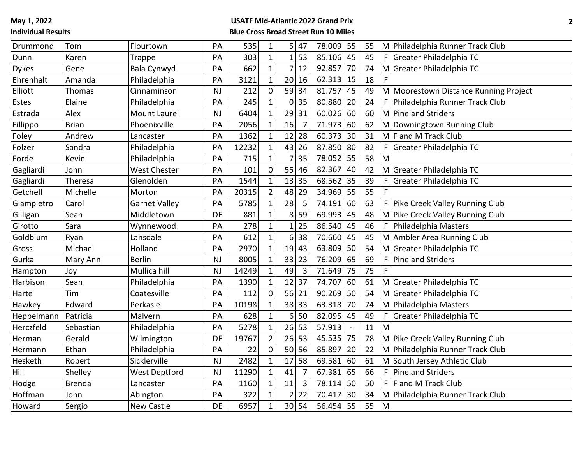| Drummond     | Tom           | Flourtown            | PA        | 535   | $\mathbf 1$    | 5              | 47             | 78.009 | 55                       | 55 |              | M Philadelphia Runner Track Club      |
|--------------|---------------|----------------------|-----------|-------|----------------|----------------|----------------|--------|--------------------------|----|--------------|---------------------------------------|
| Dunn         | Karen         | <b>Trappe</b>        | PA        | 303   | $\overline{1}$ |                | $1 \vert 53$   | 85.106 | 45                       | 45 |              | F Greater Philadelphia TC             |
| <b>Dykes</b> | Gene          | Bala Cynwyd          | PA        | 662   | $\mathbf{1}$   | $\overline{7}$ | 12             | 92.857 | 70                       | 74 |              | M Greater Philadelphia TC             |
| Ehrenhalt    | Amanda        | Philadelphia         | PA        | 3121  | $\mathbf{1}$   |                | 20 16          | 62.313 | 15                       | 18 | F            |                                       |
| Elliott      | Thomas        | Cinnaminson          | <b>NJ</b> | 212   | $\overline{0}$ | 59             | 34             | 81.757 | 45                       | 49 |              | M Moorestown Distance Running Project |
| Estes        | Elaine        | Philadelphia         | PA        | 245   | 1              | 0              | 35             | 80.880 | 20                       | 24 | F.           | Philadelphia Runner Track Club        |
| Estrada      | Alex          | <b>Mount Laurel</b>  | <b>NJ</b> | 6404  | $\mathbf{1}$   | 29 31          |                | 60.026 | 60                       | 60 |              | M Pineland Striders                   |
| Fillippo     | <b>Brian</b>  | Phoenixville         | PA        | 2056  | $\mathbf{1}$   | 16             | $\overline{7}$ | 71.973 | 60                       | 62 |              | M Downingtown Running Club            |
| Foley        | Andrew        | Lancaster            | PA        | 1362  | $\mathbf{1}$   | 12             | 28             | 60.373 | 30                       | 31 |              | $M$ F and M Track Club                |
| Folzer       | Sandra        | Philadelphia         | PA        | 12232 | $\overline{1}$ | 43             | 26             | 87.850 | 80                       | 82 | F            | Greater Philadelphia TC               |
| Forde        | Kevin         | Philadelphia         | PA        | 715   | $\mathbf{1}$   | $\overline{7}$ | 35             | 78.052 | 55                       | 58 | M            |                                       |
| Gagliardi    | John          | <b>West Chester</b>  | PA        | 101   | $\mathbf 0$    |                | 55 46          | 82.367 | 40                       | 42 |              | M Greater Philadelphia TC             |
| Gagliardi    | Theresa       | Glenolden            | PA        | 1544  | 1              | 13             | 35             | 68.562 | 35                       | 39 |              | Greater Philadelphia TC               |
| Getchell     | Michelle      | Morton               | PA        | 20315 | $\overline{2}$ | 48             | 29             | 34.969 | 55                       | 55 | $\mathsf{F}$ |                                       |
| Giampietro   | Carol         | <b>Garnet Valley</b> | PA        | 5785  | $\mathbf{1}$   | 28             | 5              | 74.191 | 60                       | 63 | F            | Pike Creek Valley Running Club        |
| Gilligan     | Sean          | Middletown           | DE        | 881   | $\mathbf{1}$   |                | 8 59           | 69.993 | 45                       | 48 |              | M Pike Creek Valley Running Club      |
| Girotto      | Sara          | Wynnewood            | PA        | 278   | $\mathbf{1}$   | $1\vert$       | 25             | 86.540 | 45                       | 46 | F            | Philadelphia Masters                  |
| Goldblum     | Ryan          | Lansdale             | PA        | 612   | $\mathbf{1}$   | 6 <sup>1</sup> | 38             | 70.660 | 45                       | 45 |              | M Ambler Area Running Club            |
| Gross        | Michael       | Holland              | PA        | 2970  | $\mathbf{1}$   | 19 43          |                | 63.809 | 50                       | 54 |              | M Greater Philadelphia TC             |
| Gurka        | Mary Ann      | <b>Berlin</b>        | <b>NJ</b> | 8005  | $\mathbf 1$    | 33 23          |                | 76.209 | 65                       | 69 | F            | Pineland Striders                     |
| Hampton      | Joy           | Mullica hill         | <b>NJ</b> | 14249 | 1              | 49             | 3              | 71.649 | 75                       | 75 | F            |                                       |
| Harbison     | Sean          | Philadelphia         | PA        | 1390  | $\mathbf{1}$   | 12 37          |                | 74.707 | 60                       | 61 |              | M Greater Philadelphia TC             |
| Harte        | Tim           | Coatesville          | PA        | 112   | $\mathbf 0$    | 56 21          |                | 90.269 | 50                       | 54 |              | M Greater Philadelphia TC             |
| Hawkey       | Edward        | Perkasie             | PA        | 10198 | 1              | 38 33          |                | 63.318 | 70                       | 74 |              | M Philadelphia Masters                |
| Heppelmann   | Patricia      | Malvern              | PA        | 628   | $\mathbf{1}$   | 6 <sup>1</sup> | 50             | 82.095 | 45                       | 49 | F            | Greater Philadelphia TC               |
| Herczfeld    | Sebastian     | Philadelphia         | PA        | 5278  | $\mathbf{1}$   | 26 53          |                | 57.913 | $\overline{\phantom{a}}$ | 11 | M            |                                       |
| Herman       | Gerald        | Wilmington           | DE        | 19767 | $\overline{2}$ | 26 53          |                | 45.535 | 75                       | 78 |              | M Pike Creek Valley Running Club      |
| Hermann      | Ethan         | Philadelphia         | PA        | 22    | $\mathbf 0$    |                | 50 56          | 85.897 | 20                       | 22 |              | M Philadelphia Runner Track Club      |
| Hesketh      | Robert        | Sicklerville         | <b>NJ</b> | 2482  |                | 17             | 58             | 69.581 | 60                       | 61 |              | M South Jersey Athletic Club          |
| Hill         | Shelley       | <b>West Deptford</b> | <b>NJ</b> | 11290 | $\mathbf{1}$   | 41             | 7              | 67.381 | 65                       | 66 | F.           | Pineland Striders                     |
| Hodge        | <b>Brenda</b> | Lancaster            | PA        | 1160  | $\mathbf{1}$   | 11             | $\overline{3}$ | 78.114 | 50                       | 50 | F.           | F and M Track Club                    |
| Hoffman      | John          | Abington             | PA        | 322   | $\mathbf{1}$   | $\overline{2}$ | 22             | 70.417 | 30                       | 34 |              | M Philadelphia Runner Track Club      |
| Howard       | Sergio        | <b>New Castle</b>    | DE        | 6957  | $\overline{1}$ | 30 54          |                | 56.454 | 55                       | 55 | M            |                                       |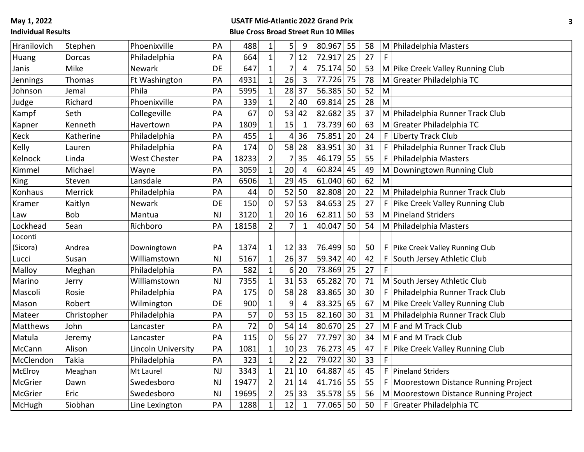| Hranilovich | Stephen       | Phoenixville        | PA        | 488   | $\mathbf{1}$   | $9\,$<br>$\overline{5}$          | 80.967 | 55 | 58 |    | M Philadelphia Masters                  |
|-------------|---------------|---------------------|-----------|-------|----------------|----------------------------------|--------|----|----|----|-----------------------------------------|
| Huang       | <b>Dorcas</b> | Philadelphia        | PA        | 664   | $\mathbf{1}$   | 7 <sup>1</sup><br>12             | 72.917 | 25 | 27 | F  |                                         |
| Janis       | Mike          | Newark              | DE        | 647   | $\overline{1}$ | $\overline{7}$<br>4              | 75.174 | 50 | 53 |    | M Pike Creek Valley Running Club        |
| Jennings    | Thomas        | Ft Washington       | PA        | 4931  | $\mathbf{1}$   | 26<br>3                          | 77.726 | 75 | 78 |    | M Greater Philadelphia TC               |
| Johnson     | Jemal         | Phila               | PA        | 5995  | 1              | 28<br>37                         | 56.385 | 50 | 52 | M  |                                         |
| Judge       | Richard       | Phoenixville        | PA        | 339   | $\mathbf{1}$   | $\overline{2}$<br>40             | 69.814 | 25 | 28 | M  |                                         |
| Kampf       | Seth          | Collegeville        | PA        | 67    | $\mathbf 0$    | 53<br>42                         | 82.682 | 35 | 37 |    | M Philadelphia Runner Track Club        |
| Kapner      | Kenneth       | Havertown           | PA        | 1809  | $\mathbf{1}$   | 15<br>$\mathbf{1}$               | 73.739 | 60 | 63 |    | M Greater Philadelphia TC               |
| Keck        | Katherine     | Philadelphia        | PA        | 455   | $\mathbf{1}$   | 36<br>4                          | 75.851 | 20 | 24 | F  | Liberty Track Club                      |
| Kelly       | Lauren        | Philadelphia        | PA        | 174   | $\mathbf 0$    | 58<br>28                         | 83.951 | 30 | 31 | F. | Philadelphia Runner Track Club          |
| Kelnock     | Linda         | <b>West Chester</b> | PA        | 18233 | $\overline{2}$ | 35<br>$\overline{7}$             | 46.179 | 55 | 55 | F. | Philadelphia Masters                    |
| Kimmel      | Michael       | Wayne               | PA        | 3059  | $\mathbf{1}$   | 20<br>4                          | 60.824 | 45 | 49 |    | M Downingtown Running Club              |
| King        | Steven        | Lansdale            | PA        | 6506  | $\mathbf{1}$   | 45<br>29                         | 61.040 | 60 | 62 | M  |                                         |
| Konhaus     | Merrick       | Philadelphia        | PA        | 44    | $\mathbf 0$    | 52<br>50                         | 82.808 | 20 | 22 |    | M Philadelphia Runner Track Club        |
| Kramer      | Kaitlyn       | Newark              | DE        | 150   | $\mathbf 0$    | $57$ 53                          | 84.653 | 25 | 27 |    | F   Pike Creek Valley Running Club      |
| Law         | <b>Bob</b>    | Mantua              | <b>NJ</b> | 3120  | 1              | 20 <sup>1</sup><br>16            | 62.811 | 50 | 53 |    | M Pineland Striders                     |
| Lockhead    | Sean          | Richboro            | PA        | 18158 | $\overline{2}$ | $\overline{7}$<br>$\mathbf{1}$   | 40.047 | 50 | 54 |    | M Philadelphia Masters                  |
| Loconti     |               |                     |           |       |                |                                  |        |    |    |    |                                         |
| (Sicora)    | Andrea        | Downingtown         | PA        | 1374  | $\mathbf 1$    | 12 33                            | 76.499 | 50 | 50 |    | F   Pike Creek Valley Running Club      |
| Lucci       | Susan         | Williamstown        | <b>NJ</b> | 5167  | $\overline{1}$ | 26 37                            | 59.342 | 40 | 42 | F  | South Jersey Athletic Club              |
| Malloy      | Meghan        | Philadelphia        | PA        | 582   | $\mathbf{1}$   | 20<br>6                          | 73.869 | 25 | 27 | F  |                                         |
| Marino      | Jerry         | Williamstown        | <b>NJ</b> | 7355  | $\mathbf{1}$   | 53<br>31                         | 65.282 | 70 | 71 |    | M South Jersey Athletic Club            |
| Mascoli     | Rosie         | Philadelphia        | PA        | 175   | $\mathbf 0$    | 58<br>28                         | 83.865 | 30 | 30 |    | F Philadelphia Runner Track Club        |
| Mason       | Robert        | Wilmington          | DE        | 900   | $\mathbf 1$    | $\overline{4}$<br>$\overline{9}$ | 83.325 | 65 | 67 |    | M Pike Creek Valley Running Club        |
| Mateer      | Christopher   | Philadelphia        | PA        | 57    | $\overline{0}$ | 53<br>15                         | 82.160 | 30 | 31 |    | M Philadelphia Runner Track Club        |
| Matthews    | John          | Lancaster           | PA        | 72    | $\mathbf 0$    | 54<br>14                         | 80.670 | 25 | 27 |    | $M$ F and M Track Club                  |
| Matula      | Jeremy        | Lancaster           | PA        | 115   | $\mathbf 0$    | 56 27                            | 77.797 | 30 | 34 |    | $M$ F and M Track Club                  |
| McCann      | Alison        | Lincoln University  | PA        | 1081  | $\mathbf{1}$   | 10 23                            | 76.273 | 45 | 47 | F  | Pike Creek Valley Running Club          |
| McClendon   | Takia         | Philadelphia        | PA        | 323   | $\mathbf{1}$   | 22<br>$\overline{2}$             | 79.022 | 30 | 33 | F. |                                         |
| McElroy     | Meaghan       | Mt Laurel           | NJ        | 3343  | $\mathbf 1$    | 10<br>21                         | 64.887 | 45 | 45 |    | F   Pineland Striders                   |
| McGrier     | Dawn          | Swedesboro          | <b>NJ</b> | 19477 | $\overline{2}$ | $21$ 14                          | 41.716 | 55 | 55 |    | F   Moorestown Distance Running Project |
| McGrier     | Eric          | Swedesboro          | <b>NJ</b> | 19695 | $\overline{2}$ | 33<br>25                         | 35.578 | 55 | 56 |    | M Moorestown Distance Running Project   |
| McHugh      | Siobhan       | Line Lexington      | PA        | 1288  | $\mathbf{1}$   | 12<br>$\mathbf{1}$               | 77.065 | 50 | 50 | F  | Greater Philadelphia TC                 |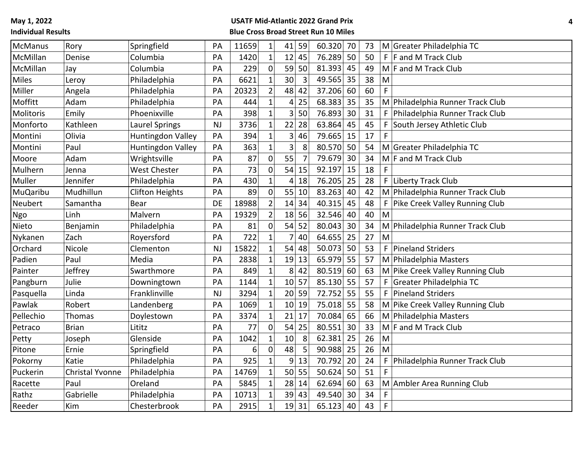| <b>McManus</b>  | Rory            | Springfield              | PA        | 11659 | $\mathbf{1}$   |                 | $41$ 59        | 60.320 | 70 | 73 |             | M Greater Philadelphia TC        |
|-----------------|-----------------|--------------------------|-----------|-------|----------------|-----------------|----------------|--------|----|----|-------------|----------------------------------|
| McMillan        | Denise          | Columbia                 | PA        | 1420  | $\mathbf{1}$   | $12$ 45         |                | 76.289 | 50 | 50 |             | $F$ F and M Track Club           |
| McMillan        | Jay             | Columbia                 | PA        | 229   | $\mathbf 0$    |                 | 59 50          | 81.393 | 45 | 49 |             | $M$ F and M Track Club           |
| <b>Miles</b>    | Leroy           | Philadelphia             | PA        | 6621  | 1              | 30              | 3              | 49.565 | 35 | 38 | M           |                                  |
| Miller          | Angela          | Philadelphia             | PA        | 20323 | $\overline{2}$ | 48              | 42             | 37.206 | 60 | 60 | F.          |                                  |
| Moffitt         | Adam            | Philadelphia             | PA        | 444   | 1              | $\vert 4 \vert$ | 25             | 68.383 | 35 | 35 |             | M Philadelphia Runner Track Club |
| Molitoris       | Emily           | Phoenixville             | PA        | 398   | $\mathbf{1}$   |                 | 3 50           | 76.893 | 30 | 31 | F           | Philadelphia Runner Track Club   |
| Monforto        | Kathleen        | Laurel Springs           | <b>NJ</b> | 3736  | 1              | 22              | 28             | 63.864 | 45 | 45 | F           | South Jersey Athletic Club       |
| Montini         | Olivia          | <b>Huntingdon Valley</b> | PA        | 394   | 1              | 3 <sup>1</sup>  | 46             | 79.665 | 15 | 17 | F           |                                  |
| Montini         | Paul            | <b>Huntingdon Valley</b> | PA        | 363   | $\overline{1}$ | 3               | $\,8$          | 80.570 | 50 | 54 |             | M Greater Philadelphia TC        |
| Moore           | Adam            | Wrightsville             | PA        | 87    | $\overline{0}$ | 55              | $\overline{7}$ | 79.679 | 30 | 34 |             | $M$ F and M Track Club           |
| Mulhern         | Jenna           | <b>West Chester</b>      | PA        | 73    | $\Omega$       | 54              | 15             | 92.197 | 15 | 18 | F           |                                  |
| Muller          | Jennifer        | Philadelphia             | PA        | 430   |                | 4               | 18             | 76.205 | 25 | 28 | F           | Liberty Track Club               |
| <b>MuQaribu</b> | Mudhillun       | <b>Clifton Heights</b>   | PA        | 89    | $\Omega$       |                 | 55 10          | 83.263 | 40 | 42 |             | M Philadelphia Runner Track Club |
| Neubert         | Samantha        | <b>Bear</b>              | DE        | 18988 | $\overline{2}$ | 14 34           |                | 40.315 | 45 | 48 | F           | Pike Creek Valley Running Club   |
| Ngo             | Linh            | Malvern                  | PA        | 19329 | $\overline{2}$ | 18 56           |                | 32.546 | 40 | 40 | M           |                                  |
| Nieto           | Benjamin        | Philadelphia             | PA        | 81    | $\overline{0}$ | 54              | 52             | 80.043 | 30 | 34 |             | M Philadelphia Runner Track Club |
| Nykanen         | Zach            | Royersford               | PA        | 722   | $\mathbf{1}$   |                 | 40             | 64.655 | 25 | 27 | M           |                                  |
| Orchard         | Nicole          | Clementon                | <b>NJ</b> | 15822 | $\mathbf{1}$   | 54              | 48             | 50.073 | 50 | 53 | F           | Pineland Striders                |
| Padien          | Paul            | Media                    | PA        | 2838  |                | 19 13           |                | 65.979 | 55 | 57 |             | M Philadelphia Masters           |
| Painter         | Jeffrey         | Swarthmore               | PA        | 849   |                | 8 <sup>1</sup>  | 42             | 80.519 | 60 | 63 |             | M Pike Creek Valley Running Club |
| Pangburn        | Julie           | Downingtown              | PA        | 1144  | $\mathbf{1}$   | 10 57           |                | 85.130 | 55 | 57 | F           | Greater Philadelphia TC          |
| Pasquella       | Linda           | Franklinville            | NJ        | 3294  | $\mathbf{1}$   | 20 59           |                | 72.752 | 55 | 55 | F           | Pineland Striders                |
| Pawlak          | Robert          | Landenberg               | PA        | 1069  | $\mathbf{1}$   | 10 19           |                | 75.018 | 55 | 58 |             | M Pike Creek Valley Running Club |
| Pellechio       | <b>Thomas</b>   | Doylestown               | PA        | 3374  | $\mathbf{1}$   | $21$ 17         |                | 70.084 | 65 | 66 |             | M Philadelphia Masters           |
| Petraco         | <b>Brian</b>    | Lititz                   | PA        | 77    | $\Omega$       | 54              | 25             | 80.551 | 30 | 33 |             | $M$ F and M Track Club           |
| Petty           | Joseph          | Glenside                 | PA        | 1042  | $\overline{1}$ | 10              | 8              | 62.381 | 25 | 26 | M           |                                  |
| Pitone          | Ernie           | Springfield              | PA        | 6     | $\mathbf 0$    | 48              | 5              | 90.988 | 25 | 26 | M           |                                  |
| Pokorny         | Katie           | Philadelphia             | PA        | 925   |                | 9               | 13             | 70.792 | 20 | 24 | F           | Philadelphia Runner Track Club   |
| Puckerin        | Christal Yvonne | Philadelphia             | PA        | 14769 | $\mathbf{1}$   |                 | 50 55          | 50.624 | 50 | 51 | F           |                                  |
| Racette         | Paul            | Oreland                  | PA        | 5845  | $\mathbf{1}$   | 28 14           |                | 62.694 | 60 | 63 |             | M Ambler Area Running Club       |
| Rathz           | Gabrielle       | Philadelphia             | PA        | 10713 | 1              | 39 43           |                | 49.540 | 30 | 34 | F           |                                  |
| Reeder          | Kim             | Chesterbrook             | PA        | 2915  | $\mathbf{1}$   | 19 31           |                | 65.123 | 40 | 43 | $\mathsf F$ |                                  |